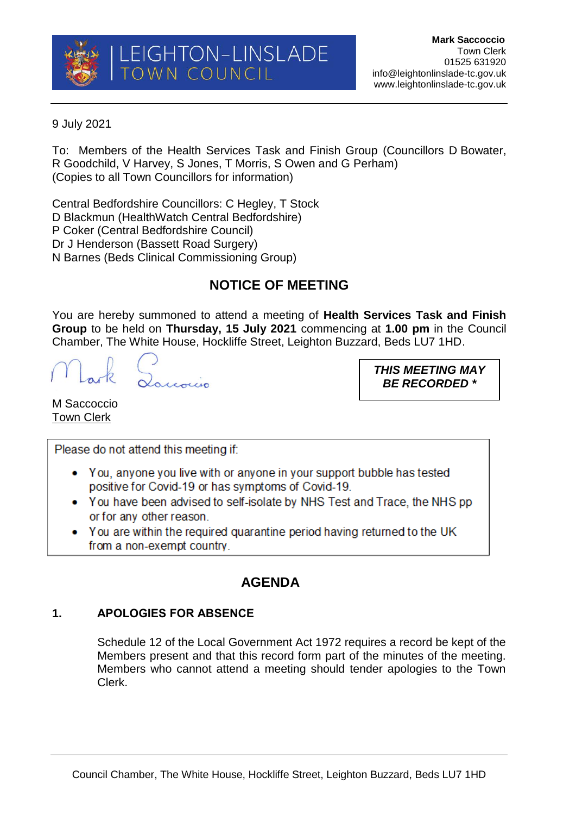## 9 July 2021

To: Members of the Health Services Task and Finish Group (Councillors D Bowater, R Goodchild, V Harvey, S Jones, T Morris, S Owen and G Perham) (Copies to all Town Councillors for information)

Central Bedfordshire Councillors: C Hegley, T Stock D Blackmun (HealthWatch Central Bedfordshire) P Coker (Central Bedfordshire Council) Dr J Henderson (Bassett Road Surgery) N Barnes (Beds Clinical Commissioning Group)

# **NOTICE OF MEETING**

You are hereby summoned to attend a meeting of **Health Services Task and Finish Group** to be held on **Thursday, 15 July 2021** commencing at **1.00 pm** in the Council Chamber, The White House, Hockliffe Street, Leighton Buzzard, Beds LU7 1HD.

*THIS MEETING MAY BE RECORDED \**

M Saccoccio Town Clerk

Please do not attend this meeting if:

- You, anyone you live with or anyone in your support bubble has tested positive for Covid-19 or has symptoms of Covid-19.
- You have been advised to self-isolate by NHS Test and Trace, the NHS pp or for any other reason.
- You are within the required quarantine period having returned to the UK from a non-exempt country.

## **AGENDA**

## **1. APOLOGIES FOR ABSENCE**

Schedule 12 of the Local Government Act 1972 requires a record be kept of the Members present and that this record form part of the minutes of the meeting. Members who cannot attend a meeting should tender apologies to the Town Clerk.